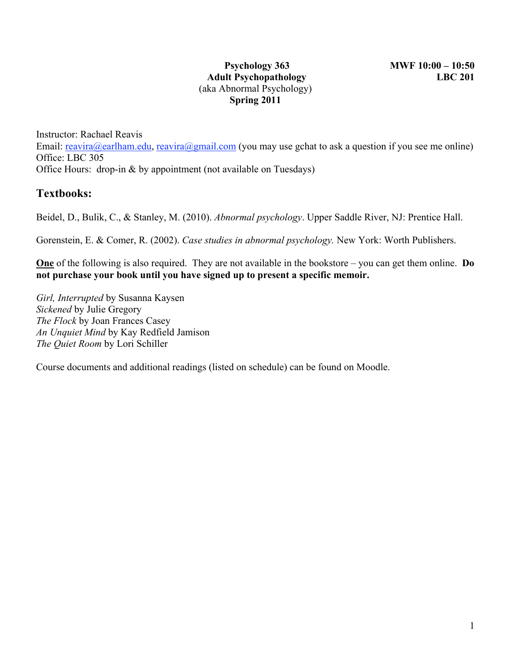### **Psychology 363 MWF 10:00 – 10:50 Adult Psychopathology LBC 201** (aka Abnormal Psychology) **Spring 2011**

Instructor: Rachael Reavis Email: reavira@earlham.edu, reavira@gmail.com (you may use gchat to ask a question if you see me online) Office: LBC 305 Office Hours: drop-in & by appointment (not available on Tuesdays)

## **Textbooks:**

Beidel, D., Bulik, C., & Stanley, M. (2010). *Abnormal psychology*. Upper Saddle River, NJ: Prentice Hall.

Gorenstein, E. & Comer, R. (2002). *Case studies in abnormal psychology.* New York: Worth Publishers.

**One** of the following is also required. They are not available in the bookstore – you can get them online. **Do not purchase your book until you have signed up to present a specific memoir.**

*Girl, Interrupted* by Susanna Kaysen *Sickened* by Julie Gregory *The Flock* by Joan Frances Casey *An Unquiet Mind* by Kay Redfield Jamison *The Quiet Room* by Lori Schiller

Course documents and additional readings (listed on schedule) can be found on Moodle.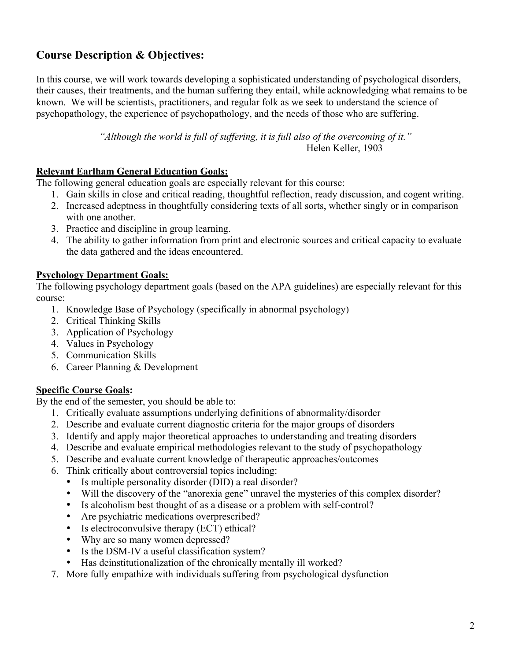# **Course Description & Objectives:**

In this course, we will work towards developing a sophisticated understanding of psychological disorders, their causes, their treatments, and the human suffering they entail, while acknowledging what remains to be known. We will be scientists, practitioners, and regular folk as we seek to understand the science of psychopathology, the experience of psychopathology, and the needs of those who are suffering.

> *"Although the world is full of suffering, it is full also of the overcoming of it."* Helen Keller, 1903

### **Relevant Earlham General Education Goals:**

The following general education goals are especially relevant for this course:

- 1. Gain skills in close and critical reading, thoughtful reflection, ready discussion, and cogent writing.
- 2. Increased adeptness in thoughtfully considering texts of all sorts, whether singly or in comparison with one another.
- 3. Practice and discipline in group learning.
- 4. The ability to gather information from print and electronic sources and critical capacity to evaluate the data gathered and the ideas encountered.

### **Psychology Department Goals:**

The following psychology department goals (based on the APA guidelines) are especially relevant for this course:

- 1. Knowledge Base of Psychology (specifically in abnormal psychology)
- 2. Critical Thinking Skills
- 3. Application of Psychology
- 4. Values in Psychology
- 5. Communication Skills
- 6. Career Planning & Development

### **Specific Course Goals:**

By the end of the semester, you should be able to:

- 1. Critically evaluate assumptions underlying definitions of abnormality/disorder
- 2. Describe and evaluate current diagnostic criteria for the major groups of disorders
- 3. Identify and apply major theoretical approaches to understanding and treating disorders
- 4. Describe and evaluate empirical methodologies relevant to the study of psychopathology
- 5. Describe and evaluate current knowledge of therapeutic approaches/outcomes
- 6. Think critically about controversial topics including:
	- Is multiple personality disorder (DID) a real disorder?
	- Will the discovery of the "anorexia gene" unravel the mysteries of this complex disorder?
	- Is alcoholism best thought of as a disease or a problem with self-control?
	- Are psychiatric medications overprescribed?<br>• Is electroconvulsive therapy (ECT) ethical?
	- Is electroconvulsive therapy (ECT) ethical?<br>• Why are so many women depressed?
	- Why are so many women depressed?
	- Is the DSM-IV a useful classification system?
	- Has deinstitutionalization of the chronically mentally ill worked?
- 7. More fully empathize with individuals suffering from psychological dysfunction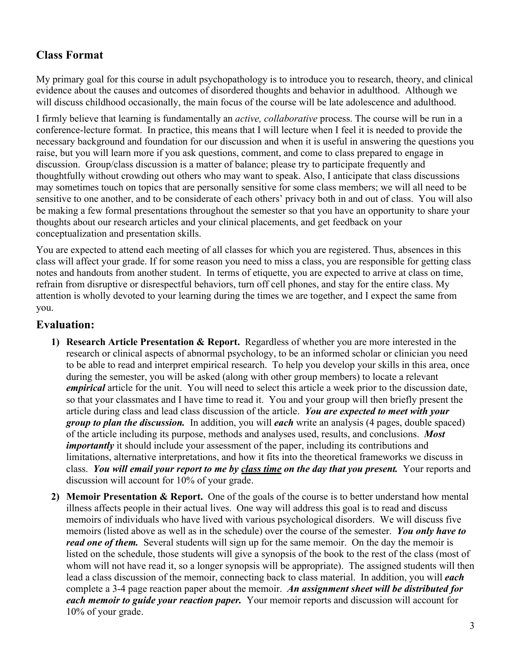# **Class Format**

My primary goal for this course in adult psychopathology is to introduce you to research, theory, and clinical evidence about the causes and outcomes of disordered thoughts and behavior in adulthood. Although we will discuss childhood occasionally, the main focus of the course will be late adolescence and adulthood.

I firmly believe that learning is fundamentally an *active, collaborative* process. The course will be run in a conference-lecture format. In practice, this means that I will lecture when I feel it is needed to provide the necessary background and foundation for our discussion and when it is useful in answering the questions you raise, but you will learn more if you ask questions, comment, and come to class prepared to engage in discussion. Group/class discussion is a matter of balance; please try to participate frequently and thoughtfully without crowding out others who may want to speak. Also, I anticipate that class discussions may sometimes touch on topics that are personally sensitive for some class members; we will all need to be sensitive to one another, and to be considerate of each others' privacy both in and out of class. You will also be making a few formal presentations throughout the semester so that you have an opportunity to share your thoughts about our research articles and your clinical placements, and get feedback on your conceptualization and presentation skills.

You are expected to attend each meeting of all classes for which you are registered. Thus, absences in this class will affect your grade. If for some reason you need to miss a class, you are responsible for getting class notes and handouts from another student. In terms of etiquette, you are expected to arrive at class on time, refrain from disruptive or disrespectful behaviors, turn off cell phones, and stay for the entire class. My attention is wholly devoted to your learning during the times we are together, and I expect the same from you.

## **Evaluation:**

- **1) Research Article Presentation & Report.** Regardless of whether you are more interested in the research or clinical aspects of abnormal psychology, to be an informed scholar or clinician you need to be able to read and interpret empirical research. To help you develop your skills in this area, once during the semester, you will be asked (along with other group members) to locate a relevant *empirical* article for the unit. You will need to select this article a week prior to the discussion date, so that your classmates and I have time to read it. You and your group will then briefly present the article during class and lead class discussion of the article. *You are expected to meet with your group to plan the discussion.* In addition, you will *each* write an analysis (4 pages, double spaced) of the article including its purpose, methods and analyses used, results, and conclusions. *Most importantly* it should include your assessment of the paper, including its contributions and limitations, alternative interpretations, and how it fits into the theoretical frameworks we discuss in class. *You will email your report to me by class time on the day that you present.* Your reports and discussion will account for 10% of your grade.
- **2) Memoir Presentation & Report.** One of the goals of the course is to better understand how mental illness affects people in their actual lives. One way will address this goal is to read and discuss memoirs of individuals who have lived with various psychological disorders. We will discuss five memoirs (listed above as well as in the schedule) over the course of the semester. *You only have to read one of them.* Several students will sign up for the same memoir. On the day the memoir is listed on the schedule, those students will give a synopsis of the book to the rest of the class (most of whom will not have read it, so a longer synopsis will be appropriate). The assigned students will then lead a class discussion of the memoir, connecting back to class material. In addition, you will *each* complete a 3-4 page reaction paper about the memoir. *An assignment sheet will be distributed for each memoir to guide your reaction paper.* Your memoir reports and discussion will account for 10% of your grade.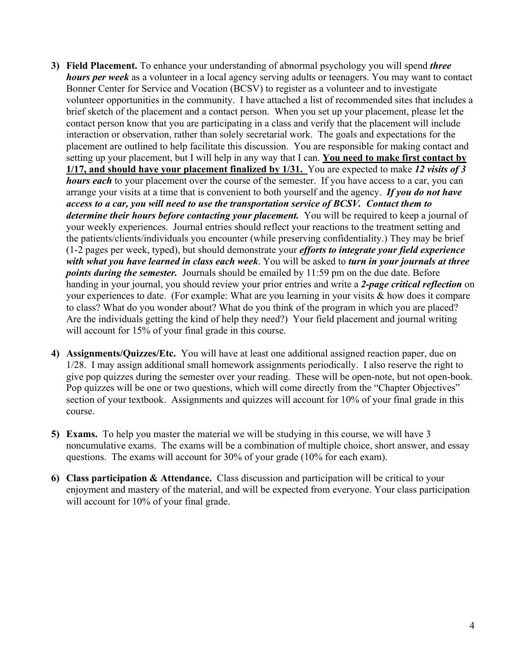- **3) Field Placement.** To enhance your understanding of abnormal psychology you will spend *three hours per week* as a volunteer in a local agency serving adults or teenagers. You may want to contact Bonner Center for Service and Vocation (BCSV) to register as a volunteer and to investigate volunteer opportunities in the community. I have attached a list of recommended sites that includes a brief sketch of the placement and a contact person. When you set up your placement, please let the contact person know that you are participating in a class and verify that the placement will include interaction or observation, rather than solely secretarial work. The goals and expectations for the placement are outlined to help facilitate this discussion. You are responsible for making contact and setting up your placement, but I will help in any way that I can. **You need to make first contact by 1/17, and should have your placement finalized by 1/31.** You are expected to make *12 visits of 3 hours each* to your placement over the course of the semester. If you have access to a car, you can arrange your visits at a time that is convenient to both yourself and the agency. *If you do not have access to a car, you will need to use the transportation service of BCSV. Contact them to determine their hours before contacting your placement.* You will be required to keep a journal of your weekly experiences. Journal entries should reflect your reactions to the treatment setting and the patients/clients/individuals you encounter (while preserving confidentiality.) They may be brief (1-2 pages per week, typed), but should demonstrate your *efforts to integrate your field experience with what you have learned in class each week*. You will be asked to *turn in your journals at three points during the semester.* Journals should be emailed by 11:59 pm on the due date. Before handing in your journal, you should review your prior entries and write a *2-page critical reflection* on your experiences to date. (For example: What are you learning in your visits & how does it compare to class? What do you wonder about? What do you think of the program in which you are placed? Are the individuals getting the kind of help they need?) Your field placement and journal writing will account for 15% of your final grade in this course.
- **4) Assignments/Quizzes/Etc.** You will have at least one additional assigned reaction paper, due on 1/28. I may assign additional small homework assignments periodically. I also reserve the right to give pop quizzes during the semester over your reading. These will be open-note, but not open-book. Pop quizzes will be one or two questions, which will come directly from the "Chapter Objectives" section of your textbook. Assignments and quizzes will account for 10% of your final grade in this course.
- **5) Exams.** To help you master the material we will be studying in this course, we will have 3 noncumulative exams. The exams will be a combination of multiple choice, short answer, and essay questions. The exams will account for 30% of your grade (10% for each exam).
- **6) Class participation & Attendance.** Class discussion and participation will be critical to your enjoyment and mastery of the material, and will be expected from everyone. Your class participation will account for 10% of your final grade.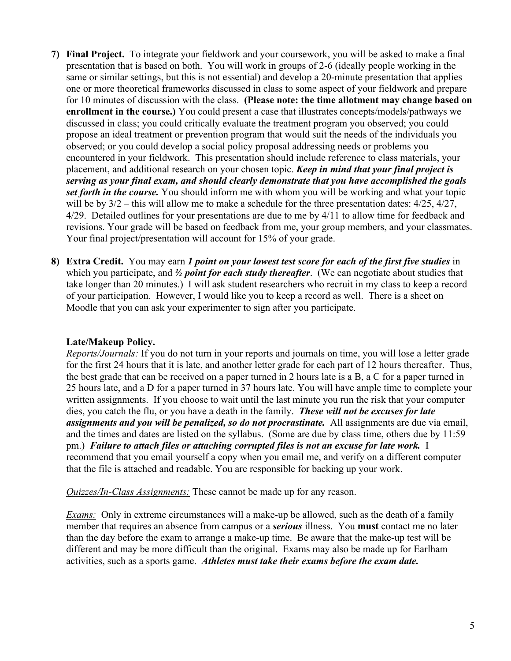- **7) Final Project.** To integrate your fieldwork and your coursework, you will be asked to make a final presentation that is based on both. You will work in groups of 2-6 (ideally people working in the same or similar settings, but this is not essential) and develop a 20-minute presentation that applies one or more theoretical frameworks discussed in class to some aspect of your fieldwork and prepare for 10 minutes of discussion with the class. **(Please note: the time allotment may change based on enrollment in the course.)** You could present a case that illustrates concepts/models/pathways we discussed in class; you could critically evaluate the treatment program you observed; you could propose an ideal treatment or prevention program that would suit the needs of the individuals you observed; or you could develop a social policy proposal addressing needs or problems you encountered in your fieldwork. This presentation should include reference to class materials, your placement, and additional research on your chosen topic. *Keep in mind that your final project is serving as your final exam, and should clearly demonstrate that you have accomplished the goals set forth in the course.* You should inform me with whom you will be working and what your topic will be by  $3/2$  – this will allow me to make a schedule for the three presentation dates:  $4/25$ ,  $4/27$ , 4/29. Detailed outlines for your presentations are due to me by 4/11 to allow time for feedback and revisions. Your grade will be based on feedback from me, your group members, and your classmates. Your final project/presentation will account for 15% of your grade.
- **8) Extra Credit.** You may earn *1 point on your lowest test score for each of the first five studies* in which you participate, and *½ point for each study thereafter*. (We can negotiate about studies that take longer than 20 minutes.) I will ask student researchers who recruit in my class to keep a record of your participation. However, I would like you to keep a record as well. There is a sheet on Moodle that you can ask your experimenter to sign after you participate.

### **Late/Makeup Policy.**

*Reports/Journals:* If you do not turn in your reports and journals on time, you will lose a letter grade for the first 24 hours that it is late, and another letter grade for each part of 12 hours thereafter. Thus, the best grade that can be received on a paper turned in 2 hours late is a B, a C for a paper turned in 25 hours late, and a D for a paper turned in 37 hours late. You will have ample time to complete your written assignments. If you choose to wait until the last minute you run the risk that your computer dies, you catch the flu, or you have a death in the family. *These will not be excuses for late assignments and you will be penalized, so do not procrastinate.* All assignments are due via email, and the times and dates are listed on the syllabus. (Some are due by class time, others due by 11:59 pm.) *Failure to attach files or attaching corrupted files is not an excuse for late work.* I recommend that you email yourself a copy when you email me, and verify on a different computer that the file is attached and readable. You are responsible for backing up your work.

*Quizzes/In-Class Assignments:* These cannot be made up for any reason.

*Exams:* Only in extreme circumstances will a make-up be allowed, such as the death of a family member that requires an absence from campus or a *serious* illness. You **must** contact me no later than the day before the exam to arrange a make-up time. Be aware that the make-up test will be different and may be more difficult than the original. Exams may also be made up for Earlham activities, such as a sports game. *Athletes must take their exams before the exam date.*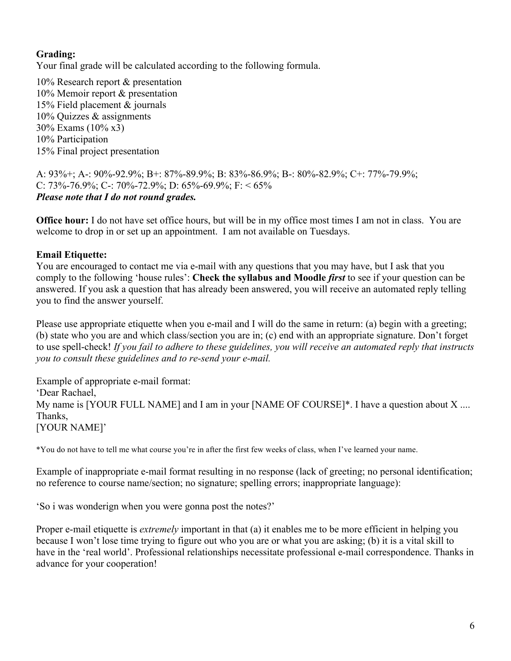## **Grading:**

Your final grade will be calculated according to the following formula.

10% Research report & presentation 10% Memoir report & presentation 15% Field placement & journals 10% Quizzes & assignments 30% Exams (10% x3) 10% Participation 15% Final project presentation

A: 93%+; A-: 90%-92.9%; B+: 87%-89.9%; B: 83%-86.9%; B-: 80%-82.9%; C+: 77%-79.9%; C: 73%-76.9%; C-: 70%-72.9%; D: 65%-69.9%; F: < 65% *Please note that I do not round grades.*

**Office hour:** I do not have set office hours, but will be in my office most times I am not in class. You are welcome to drop in or set up an appointment. I am not available on Tuesdays.

### **Email Etiquette:**

You are encouraged to contact me via e-mail with any questions that you may have, but I ask that you comply to the following 'house rules': **Check the syllabus and Moodle** *first* to see if your question can be answered. If you ask a question that has already been answered, you will receive an automated reply telling you to find the answer yourself.

Please use appropriate etiquette when you e-mail and I will do the same in return: (a) begin with a greeting; (b) state who you are and which class/section you are in; (c) end with an appropriate signature. Don't forget to use spell-check! *If you fail to adhere to these guidelines, you will receive an automated reply that instructs you to consult these guidelines and to re-send your e-mail.*

Example of appropriate e-mail format: 'Dear Rachael, My name is [YOUR FULL NAME] and I am in your [NAME OF COURSE]\*. I have a question about X .... Thanks, [YOUR NAME]'

\*You do not have to tell me what course you're in after the first few weeks of class, when I've learned your name.

Example of inappropriate e-mail format resulting in no response (lack of greeting; no personal identification; no reference to course name/section; no signature; spelling errors; inappropriate language):

'So i was wonderign when you were gonna post the notes?'

Proper e-mail etiquette is *extremely* important in that (a) it enables me to be more efficient in helping you because I won't lose time trying to figure out who you are or what you are asking; (b) it is a vital skill to have in the 'real world'. Professional relationships necessitate professional e-mail correspondence. Thanks in advance for your cooperation!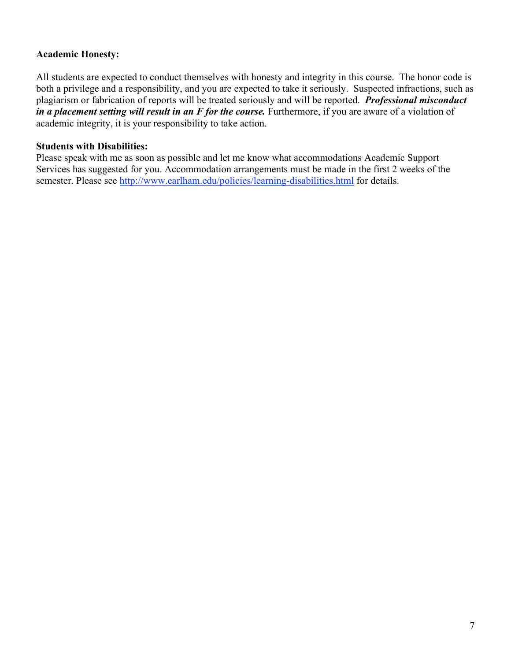### **Academic Honesty:**

All students are expected to conduct themselves with honesty and integrity in this course. The honor code is both a privilege and a responsibility, and you are expected to take it seriously. Suspected infractions, such as plagiarism or fabrication of reports will be treated seriously and will be reported. *Professional misconduct in a placement setting will result in an F for the course.* Furthermore, if you are aware of a violation of academic integrity, it is your responsibility to take action.

### **Students with Disabilities:**

Please speak with me as soon as possible and let me know what accommodations Academic Support Services has suggested for you. Accommodation arrangements must be made in the first 2 weeks of the semester. Please see http://www.earlham.edu/policies/learning-disabilities.html for details.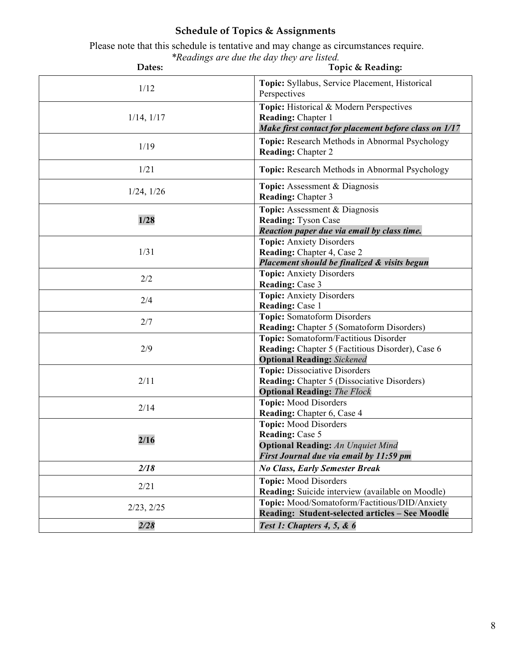# **Schedule of Topics & Assignments**

 Please note that this schedule is tentative and may change as circumstances require. *\*Readings are due the day they are listed.*

| Dates:          | Topic & Reading:                                                                                                                              |
|-----------------|-----------------------------------------------------------------------------------------------------------------------------------------------|
| 1/12            | Topic: Syllabus, Service Placement, Historical<br>Perspectives                                                                                |
| $1/14$ , $1/17$ | Topic: Historical & Modern Perspectives<br>Reading: Chapter 1<br>Make first contact for placement before class on 1/17                        |
| 1/19            | Topic: Research Methods in Abnormal Psychology<br><b>Reading: Chapter 2</b>                                                                   |
| 1/21            | Topic: Research Methods in Abnormal Psychology                                                                                                |
| $1/24$ , $1/26$ | <b>Topic:</b> Assessment & Diagnosis<br><b>Reading: Chapter 3</b>                                                                             |
| 1/28            | Topic: Assessment & Diagnosis<br><b>Reading: Tyson Case</b><br>Reaction paper due via email by class time.                                    |
| 1/31            | <b>Topic:</b> Anxiety Disorders<br>Reading: Chapter 4, Case 2<br>Placement should be finalized & visits begun                                 |
| 2/2             | <b>Topic: Anxiety Disorders</b><br>Reading: Case 3                                                                                            |
| 2/4             | <b>Topic:</b> Anxiety Disorders<br>Reading: Case 1                                                                                            |
| 2/7             | <b>Topic:</b> Somatoform Disorders<br>Reading: Chapter 5 (Somatoform Disorders)                                                               |
| 2/9             | Topic: Somatoform/Factitious Disorder<br>Reading: Chapter 5 (Factitious Disorder), Case 6<br><b>Optional Reading:</b> Sickened                |
| 2/11            | <b>Topic: Dissociative Disorders</b><br><b>Reading:</b> Chapter 5 (Dissociative Disorders)<br><b>Optional Reading: The Flock</b>              |
| 2/14            | <b>Topic:</b> Mood Disorders<br>Reading: Chapter 6, Case 4                                                                                    |
| 2/16            | <b>Topic:</b> Mood Disorders<br><b>Reading: Case 5</b><br><b>Optional Reading: An Unquiet Mind</b><br>First Journal due via email by 11:59 pm |
| 2/18            | <b>No Class, Early Semester Break</b>                                                                                                         |
| 2/21            | <b>Topic:</b> Mood Disorders<br>Reading: Suicide interview (available on Moodle)                                                              |
| 2/23, 2/25      | Topic: Mood/Somatoform/Factitious/DID/Anxiety<br>Reading: Student-selected articles - See Moodle                                              |
| 2/28            | Test 1: Chapters 4, 5, & 6                                                                                                                    |